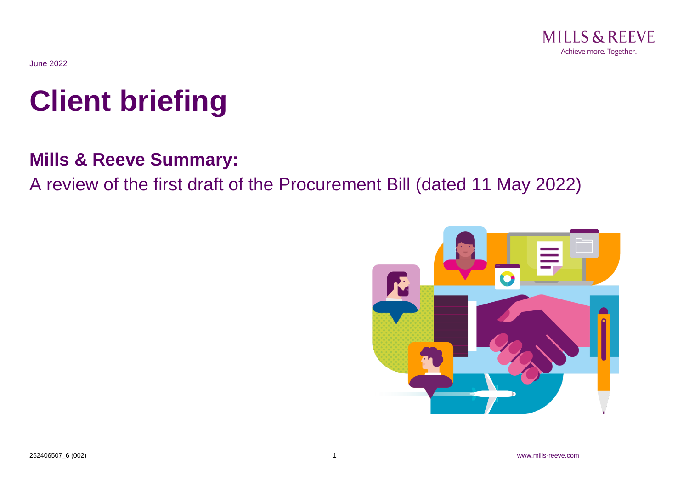

# **Client briefing**

# **Mills & Reeve Summary:**

# A review of the first draft of the Procurement Bill (dated 11 May 2022)

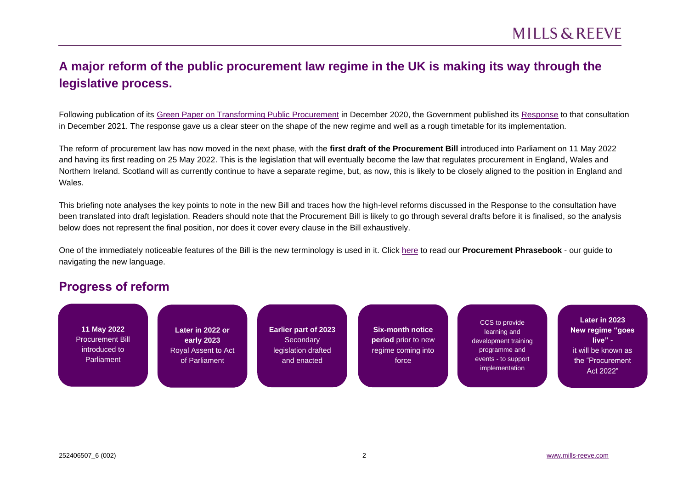## **A major reform of the public procurement law regime in the UK is making its way through the legislative process.**

Following publication of its [Green Paper on Transforming Public Procurement](https://www.gov.uk/government/consultations/green-paper-transforming-public-procurement) in December 2020, the Government published its [Response](https://assets.publishing.service.gov.uk/government/uploads/system/uploads/attachment_data/file/1038516/Transforming_Public_Procurement-_Government_response_to_consultation.v3_.pdf) to that consultation in December 2021. The response gave us a clear steer on the shape of the new regime and well as a rough timetable for its implementation.

The reform of procurement law has now moved in the next phase, with the **first draft of the Procurement Bill** introduced into Parliament on 11 May 2022 and having its first reading on 25 May 2022. This is the legislation that will eventually become the law that regulates procurement in England, Wales and Northern Ireland. Scotland will as currently continue to have a separate regime, but, as now, this is likely to be closely aligned to the position in England and Wales.

This briefing note analyses the key points to note in the new Bill and traces how the high-level reforms discussed in the Response to the consultation have been translated into draft legislation. Readers should note that the Procurement Bill is likely to go through several drafts before it is finalised, so the analysis below does not represent the final position, nor does it cover every clause in the Bill exhaustively.

One of the immediately noticeable features of the Bill is the new terminology is used in it. Click [here](http://www.mills-reeve.com/getmedia/639a317f-5319-4921-9bab-41917b2d03e6/A-Procurement-Phrasebook.pdf) to read our **Procurement Phrasebook** - our guide to navigating the new language.

### **Progress of reform**

**11 May 2022** Procurement Bill introduced to Parliament

**Later in 2022 or early 2023** Royal Assent to Act of Parliament

**Earlier part of 2023 Secondary** legislation drafted and enacted

**Six-month notice period** prior to new regime coming into force

CCS to provide learning and development training programme and events - to support implementation

**Later in 2023 New regime "goes live"**  it will be known as the "Procurement Act 2022"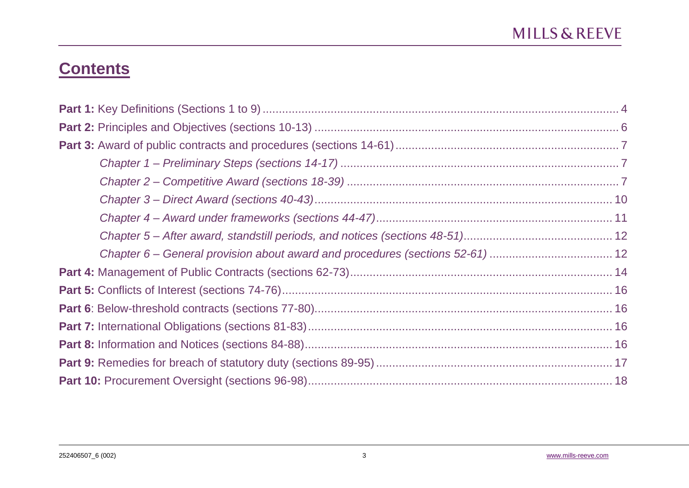# **Contents**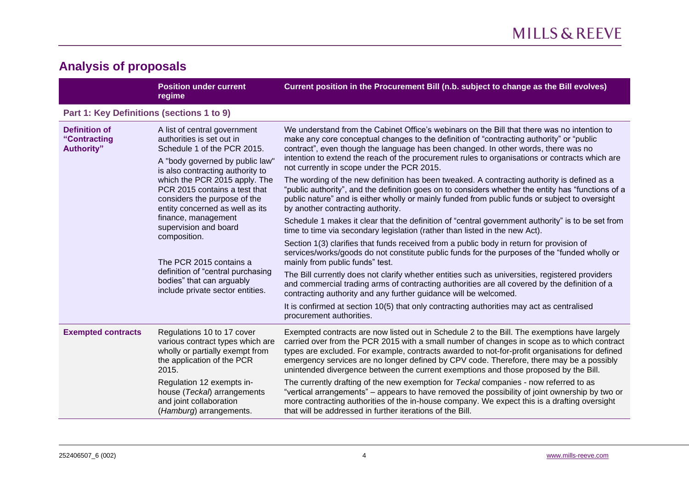# **Analysis of proposals**

<span id="page-3-0"></span>

|                                                                                                                                                                                                                                                                                                                                                                   | <b>Position under current</b><br>regime                                                                                                                                                                                                                                                                                                  | Current position in the Procurement Bill (n.b. subject to change as the Bill evolves)                                                                                                                                                                                                                                                                                                                                                                                             |
|-------------------------------------------------------------------------------------------------------------------------------------------------------------------------------------------------------------------------------------------------------------------------------------------------------------------------------------------------------------------|------------------------------------------------------------------------------------------------------------------------------------------------------------------------------------------------------------------------------------------------------------------------------------------------------------------------------------------|-----------------------------------------------------------------------------------------------------------------------------------------------------------------------------------------------------------------------------------------------------------------------------------------------------------------------------------------------------------------------------------------------------------------------------------------------------------------------------------|
| Part 1: Key Definitions (sections 1 to 9)                                                                                                                                                                                                                                                                                                                         |                                                                                                                                                                                                                                                                                                                                          |                                                                                                                                                                                                                                                                                                                                                                                                                                                                                   |
| <b>Definition of</b><br>A list of central government<br>authorities is set out in<br>"Contracting<br><b>Authority"</b><br>Schedule 1 of the PCR 2015.<br>A "body governed by public law"<br>is also contracting authority to<br>which the PCR 2015 apply. The<br>PCR 2015 contains a test that<br>considers the purpose of the<br>entity concerned as well as its |                                                                                                                                                                                                                                                                                                                                          | We understand from the Cabinet Office's webinars on the Bill that there was no intention to<br>make any core conceptual changes to the definition of "contracting authority" or "public<br>contract", even though the language has been changed. In other words, there was no<br>intention to extend the reach of the procurement rules to organisations or contracts which are<br>not currently in scope under the PCR 2015.                                                     |
|                                                                                                                                                                                                                                                                                                                                                                   | The wording of the new definition has been tweaked. A contracting authority is defined as a<br>"public authority", and the definition goes on to considers whether the entity has "functions of a<br>public nature" and is either wholly or mainly funded from public funds or subject to oversight<br>by another contracting authority. |                                                                                                                                                                                                                                                                                                                                                                                                                                                                                   |
|                                                                                                                                                                                                                                                                                                                                                                   | finance, management<br>supervision and board<br>composition.<br>The PCR 2015 contains a                                                                                                                                                                                                                                                  | Schedule 1 makes it clear that the definition of "central government authority" is to be set from<br>time to time via secondary legislation (rather than listed in the new Act).                                                                                                                                                                                                                                                                                                  |
|                                                                                                                                                                                                                                                                                                                                                                   |                                                                                                                                                                                                                                                                                                                                          | Section 1(3) clarifies that funds received from a public body in return for provision of<br>services/works/goods do not constitute public funds for the purposes of the "funded wholly or<br>mainly from public funds" test.                                                                                                                                                                                                                                                      |
| definition of "central purchasing<br>bodies" that can arguably<br>include private sector entities.                                                                                                                                                                                                                                                                | The Bill currently does not clarify whether entities such as universities, registered providers<br>and commercial trading arms of contracting authorities are all covered by the definition of a<br>contracting authority and any further guidance will be welcomed.                                                                     |                                                                                                                                                                                                                                                                                                                                                                                                                                                                                   |
|                                                                                                                                                                                                                                                                                                                                                                   |                                                                                                                                                                                                                                                                                                                                          | It is confirmed at section 10(5) that only contracting authorities may act as centralised<br>procurement authorities.                                                                                                                                                                                                                                                                                                                                                             |
| <b>Exempted contracts</b>                                                                                                                                                                                                                                                                                                                                         | Regulations 10 to 17 cover<br>various contract types which are<br>wholly or partially exempt from<br>the application of the PCR<br>2015.                                                                                                                                                                                                 | Exempted contracts are now listed out in Schedule 2 to the Bill. The exemptions have largely<br>carried over from the PCR 2015 with a small number of changes in scope as to which contract<br>types are excluded. For example, contracts awarded to not-for-profit organisations for defined<br>emergency services are no longer defined by CPV code. Therefore, there may be a possibly<br>unintended divergence between the current exemptions and those proposed by the Bill. |
|                                                                                                                                                                                                                                                                                                                                                                   | Regulation 12 exempts in-<br>house (Teckal) arrangements<br>and joint collaboration<br>(Hamburg) arrangements.                                                                                                                                                                                                                           | The currently drafting of the new exemption for Teckal companies - now referred to as<br>"vertical arrangements" – appears to have removed the possibility of joint ownership by two or<br>more contracting authorities of the in-house company. We expect this is a drafting oversight<br>that will be addressed in further iterations of the Bill.                                                                                                                              |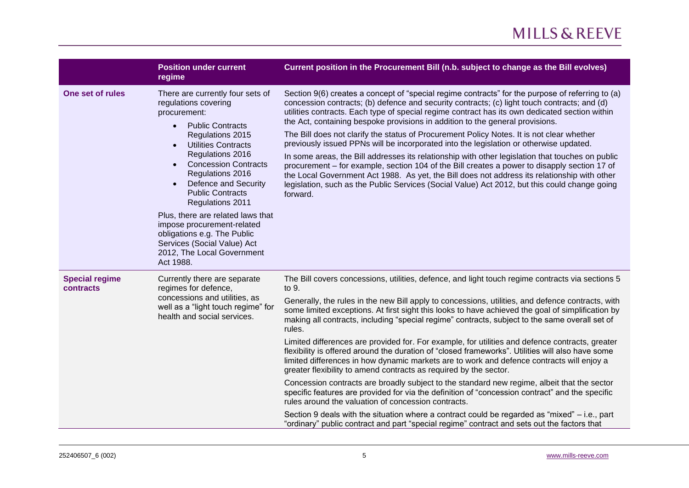|                                    | <b>Position under current</b><br>regime                                                                                                                                                                                                                                                                                                                                                                                                                                                                   | Current position in the Procurement Bill (n.b. subject to change as the Bill evolves)                                                                                                                                                                                                                                                                                                                                                                                                                                                                                                                                                                                                                                                                                                                                                                                                                                                                                                                                                                                                                                                                                                                                                                             |
|------------------------------------|-----------------------------------------------------------------------------------------------------------------------------------------------------------------------------------------------------------------------------------------------------------------------------------------------------------------------------------------------------------------------------------------------------------------------------------------------------------------------------------------------------------|-------------------------------------------------------------------------------------------------------------------------------------------------------------------------------------------------------------------------------------------------------------------------------------------------------------------------------------------------------------------------------------------------------------------------------------------------------------------------------------------------------------------------------------------------------------------------------------------------------------------------------------------------------------------------------------------------------------------------------------------------------------------------------------------------------------------------------------------------------------------------------------------------------------------------------------------------------------------------------------------------------------------------------------------------------------------------------------------------------------------------------------------------------------------------------------------------------------------------------------------------------------------|
| One set of rules                   | There are currently four sets of<br>regulations covering<br>procurement:<br><b>Public Contracts</b><br>$\bullet$<br>Regulations 2015<br><b>Utilities Contracts</b><br>$\bullet$<br>Regulations 2016<br><b>Concession Contracts</b><br>Regulations 2016<br>Defence and Security<br><b>Public Contracts</b><br>Regulations 2011<br>Plus, there are related laws that<br>impose procurement-related<br>obligations e.g. The Public<br>Services (Social Value) Act<br>2012, The Local Government<br>Act 1988. | Section 9(6) creates a concept of "special regime contracts" for the purpose of referring to (a)<br>concession contracts; (b) defence and security contracts; (c) light touch contracts; and (d)<br>utilities contracts. Each type of special regime contract has its own dedicated section within<br>the Act, containing bespoke provisions in addition to the general provisions.<br>The Bill does not clarify the status of Procurement Policy Notes. It is not clear whether<br>previously issued PPNs will be incorporated into the legislation or otherwise updated.<br>In some areas, the Bill addresses its relationship with other legislation that touches on public<br>procurement – for example, section 104 of the Bill creates a power to disapply section 17 of<br>the Local Government Act 1988. As yet, the Bill does not address its relationship with other<br>legislation, such as the Public Services (Social Value) Act 2012, but this could change going<br>forward.                                                                                                                                                                                                                                                                       |
| <b>Special regime</b><br>contracts | Currently there are separate<br>regimes for defence,<br>concessions and utilities, as<br>well as a "light touch regime" for<br>health and social services.                                                                                                                                                                                                                                                                                                                                                | The Bill covers concessions, utilities, defence, and light touch regime contracts via sections 5<br>to 9.<br>Generally, the rules in the new Bill apply to concessions, utilities, and defence contracts, with<br>some limited exceptions. At first sight this looks to have achieved the goal of simplification by<br>making all contracts, including "special regime" contracts, subject to the same overall set of<br>rules.<br>Limited differences are provided for. For example, for utilities and defence contracts, greater<br>flexibility is offered around the duration of "closed frameworks". Utilities will also have some<br>limited differences in how dynamic markets are to work and defence contracts will enjoy a<br>greater flexibility to amend contracts as required by the sector.<br>Concession contracts are broadly subject to the standard new regime, albeit that the sector<br>specific features are provided for via the definition of "concession contract" and the specific<br>rules around the valuation of concession contracts.<br>Section 9 deals with the situation where a contract could be regarded as "mixed" – i.e., part<br>"ordinary" public contract and part "special regime" contract and sets out the factors that |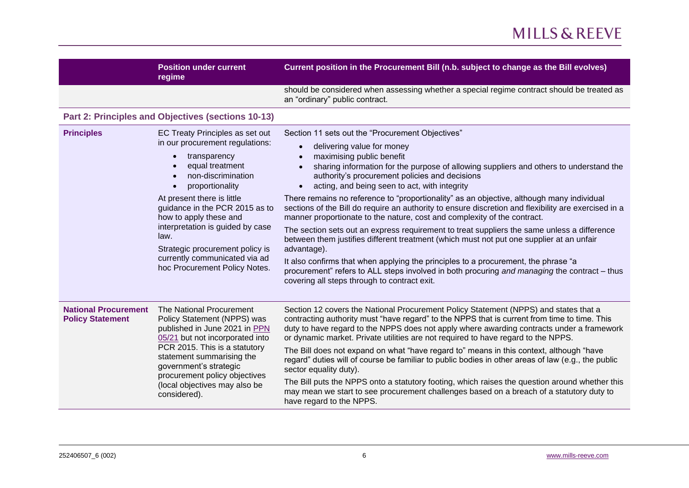<span id="page-5-0"></span>

|                                                        | <b>Position under current</b><br>regime                                                                                                                                                                                                                                                                                                                                                   | Current position in the Procurement Bill (n.b. subject to change as the Bill evolves)                                                                                                                                                                                                                                                                                                                                                                                                                                                                                                                                                                                                                                                                                                                                                                                                                                                                                                                                                                                                         |
|--------------------------------------------------------|-------------------------------------------------------------------------------------------------------------------------------------------------------------------------------------------------------------------------------------------------------------------------------------------------------------------------------------------------------------------------------------------|-----------------------------------------------------------------------------------------------------------------------------------------------------------------------------------------------------------------------------------------------------------------------------------------------------------------------------------------------------------------------------------------------------------------------------------------------------------------------------------------------------------------------------------------------------------------------------------------------------------------------------------------------------------------------------------------------------------------------------------------------------------------------------------------------------------------------------------------------------------------------------------------------------------------------------------------------------------------------------------------------------------------------------------------------------------------------------------------------|
|                                                        |                                                                                                                                                                                                                                                                                                                                                                                           | should be considered when assessing whether a special regime contract should be treated as<br>an "ordinary" public contract.                                                                                                                                                                                                                                                                                                                                                                                                                                                                                                                                                                                                                                                                                                                                                                                                                                                                                                                                                                  |
|                                                        | Part 2: Principles and Objectives (sections 10-13)                                                                                                                                                                                                                                                                                                                                        |                                                                                                                                                                                                                                                                                                                                                                                                                                                                                                                                                                                                                                                                                                                                                                                                                                                                                                                                                                                                                                                                                               |
| <b>Principles</b>                                      | EC Treaty Principles as set out<br>in our procurement regulations:<br>transparency<br>equal treatment<br>non-discrimination<br>proportionality<br>At present there is little<br>guidance in the PCR 2015 as to<br>how to apply these and<br>interpretation is guided by case<br>law.<br>Strategic procurement policy is<br>currently communicated via ad<br>hoc Procurement Policy Notes. | Section 11 sets out the "Procurement Objectives"<br>delivering value for money<br>$\bullet$<br>maximising public benefit<br>$\bullet$<br>sharing information for the purpose of allowing suppliers and others to understand the<br>$\bullet$<br>authority's procurement policies and decisions<br>acting, and being seen to act, with integrity<br>$\bullet$<br>There remains no reference to "proportionality" as an objective, although many individual<br>sections of the Bill do require an authority to ensure discretion and flexibility are exercised in a<br>manner proportionate to the nature, cost and complexity of the contract.<br>The section sets out an express requirement to treat suppliers the same unless a difference<br>between them justifies different treatment (which must not put one supplier at an unfair<br>advantage).<br>It also confirms that when applying the principles to a procurement, the phrase "a<br>procurement" refers to ALL steps involved in both procuring and managing the contract – thus<br>covering all steps through to contract exit. |
| <b>National Procurement</b><br><b>Policy Statement</b> | The National Procurement<br>Policy Statement (NPPS) was<br>published in June 2021 in PPN<br>05/21 but not incorporated into<br>PCR 2015. This is a statutory<br>statement summarising the<br>government's strategic<br>procurement policy objectives<br>(local objectives may also be<br>considered).                                                                                     | Section 12 covers the National Procurement Policy Statement (NPPS) and states that a<br>contracting authority must "have regard" to the NPPS that is current from time to time. This<br>duty to have regard to the NPPS does not apply where awarding contracts under a framework<br>or dynamic market. Private utilities are not required to have regard to the NPPS.<br>The Bill does not expand on what "have regard to" means in this context, although "have<br>regard" duties will of course be familiar to public bodies in other areas of law (e.g., the public<br>sector equality duty).<br>The Bill puts the NPPS onto a statutory footing, which raises the question around whether this<br>may mean we start to see procurement challenges based on a breach of a statutory duty to<br>have regard to the NPPS.                                                                                                                                                                                                                                                                   |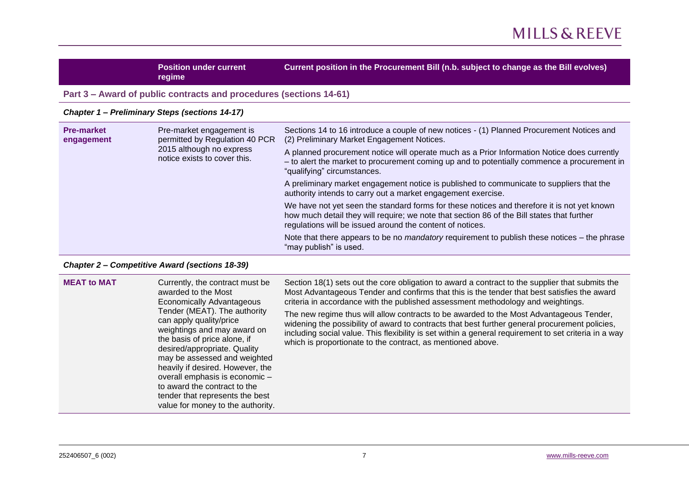<span id="page-6-1"></span><span id="page-6-0"></span>**Position under current regime Current position in the Procurement Bill (n.b. subject to change as the Bill evolves) Part 3 – Award of public contracts and procedures (sections 14-61)** *Chapter 1 – Preliminary Steps (sections 14-17)* **Pre-market engagement** Pre-market engagement is permitted by Regulation 40 PCR 2015 although no express Sections 14 to 16 introduce a couple of new notices - (1) Planned Procurement Notices and (2) Preliminary Market Engagement Notices. A planned procurement notice will operate much as a Prior Information Notice does currently

"qualifying" circumstances.

"may publish" is used.

– to alert the market to procurement coming up and to potentially commence a procurement in

A preliminary market engagement notice is published to communicate to suppliers that the

We have not yet seen the standard forms for these notices and therefore it is not yet known how much detail they will require; we note that section 86 of the Bill states that further

Note that there appears to be no *mandatory* requirement to publish these notices – the phrase

authority intends to carry out a market engagement exercise.

regulations will be issued around the content of notices.

#### <span id="page-6-2"></span>*Chapter 2 – Competitive Award (sections 18-39)*

notice exists to cover this.

| <b>MEAT to MAT</b><br>Currently, the contract must be<br>awarded to the Most<br><b>Economically Advantageous</b><br>Tender (MEAT). The authority<br>can apply quality/price<br>weightings and may award on<br>the basis of price alone, if<br>desired/appropriate. Quality<br>may be assessed and weighted<br>heavily if desired. However, the<br>overall emphasis is economic -<br>to award the contract to the<br>tender that represents the best<br>value for money to the authority. | Section 18(1) sets out the core obligation to award a contract to the supplier that submits the<br>Most Advantageous Tender and confirms that this is the tender that best satisfies the award<br>criteria in accordance with the published assessment methodology and weightings.<br>The new regime thus will allow contracts to be awarded to the Most Advantageous Tender,<br>widening the possibility of award to contracts that best further general procurement policies,<br>including social value. This flexibility is set within a general requirement to set criteria in a way<br>which is proportionate to the contract, as mentioned above. |
|------------------------------------------------------------------------------------------------------------------------------------------------------------------------------------------------------------------------------------------------------------------------------------------------------------------------------------------------------------------------------------------------------------------------------------------------------------------------------------------|---------------------------------------------------------------------------------------------------------------------------------------------------------------------------------------------------------------------------------------------------------------------------------------------------------------------------------------------------------------------------------------------------------------------------------------------------------------------------------------------------------------------------------------------------------------------------------------------------------------------------------------------------------|
|------------------------------------------------------------------------------------------------------------------------------------------------------------------------------------------------------------------------------------------------------------------------------------------------------------------------------------------------------------------------------------------------------------------------------------------------------------------------------------------|---------------------------------------------------------------------------------------------------------------------------------------------------------------------------------------------------------------------------------------------------------------------------------------------------------------------------------------------------------------------------------------------------------------------------------------------------------------------------------------------------------------------------------------------------------------------------------------------------------------------------------------------------------|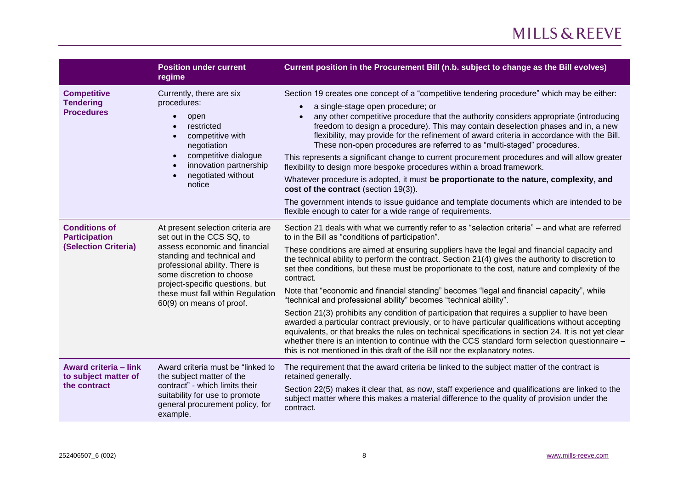|                                                                                                                                                                                                                                                                                                                | <b>Position under current</b><br>regime                                                                                                                                           | Current position in the Procurement Bill (n.b. subject to change as the Bill evolves)                                                                                                                                                                                                                                                                                                                                                                                                    |
|----------------------------------------------------------------------------------------------------------------------------------------------------------------------------------------------------------------------------------------------------------------------------------------------------------------|-----------------------------------------------------------------------------------------------------------------------------------------------------------------------------------|------------------------------------------------------------------------------------------------------------------------------------------------------------------------------------------------------------------------------------------------------------------------------------------------------------------------------------------------------------------------------------------------------------------------------------------------------------------------------------------|
| <b>Competitive</b>                                                                                                                                                                                                                                                                                             | Currently, there are six                                                                                                                                                          | Section 19 creates one concept of a "competitive tendering procedure" which may be either:                                                                                                                                                                                                                                                                                                                                                                                               |
| <b>Tendering</b><br><b>Procedures</b>                                                                                                                                                                                                                                                                          | procedures:<br>open<br>restricted<br>competitive with<br>negotiation                                                                                                              | a single-stage open procedure; or<br>$\bullet$<br>any other competitive procedure that the authority considers appropriate (introducing<br>$\bullet$<br>freedom to design a procedure). This may contain deselection phases and in, a new<br>flexibility, may provide for the refinement of award criteria in accordance with the Bill.<br>These non-open procedures are referred to as "multi-staged" procedures.                                                                       |
|                                                                                                                                                                                                                                                                                                                | competitive dialogue<br>innovation partnership                                                                                                                                    | This represents a significant change to current procurement procedures and will allow greater<br>flexibility to design more bespoke procedures within a broad framework.                                                                                                                                                                                                                                                                                                                 |
| negotiated without<br>notice                                                                                                                                                                                                                                                                                   |                                                                                                                                                                                   | Whatever procedure is adopted, it must be proportionate to the nature, complexity, and<br>cost of the contract (section 19(3)).                                                                                                                                                                                                                                                                                                                                                          |
|                                                                                                                                                                                                                                                                                                                | The government intends to issue guidance and template documents which are intended to be<br>flexible enough to cater for a wide range of requirements.                            |                                                                                                                                                                                                                                                                                                                                                                                                                                                                                          |
| <b>Conditions of</b><br>At present selection criteria are<br><b>Participation</b><br>set out in the CCS SQ, to<br><b>(Selection Criteria)</b><br>assess economic and financial<br>standing and technical and<br>professional ability. There is<br>some discretion to choose<br>project-specific questions, but |                                                                                                                                                                                   | Section 21 deals with what we currently refer to as "selection criteria" – and what are referred<br>to in the Bill as "conditions of participation".                                                                                                                                                                                                                                                                                                                                     |
|                                                                                                                                                                                                                                                                                                                |                                                                                                                                                                                   | These conditions are aimed at ensuring suppliers have the legal and financial capacity and<br>the technical ability to perform the contract. Section 21(4) gives the authority to discretion to<br>set thee conditions, but these must be proportionate to the cost, nature and complexity of the<br>contract.                                                                                                                                                                           |
|                                                                                                                                                                                                                                                                                                                | these must fall within Regulation<br>60(9) on means of proof.                                                                                                                     | Note that "economic and financial standing" becomes "legal and financial capacity", while<br>"technical and professional ability" becomes "technical ability".                                                                                                                                                                                                                                                                                                                           |
|                                                                                                                                                                                                                                                                                                                |                                                                                                                                                                                   | Section 21(3) prohibits any condition of participation that requires a supplier to have been<br>awarded a particular contract previously, or to have particular qualifications without accepting<br>equivalents, or that breaks the rules on technical specifications in section 24. It is not yet clear<br>whether there is an intention to continue with the CCS standard form selection questionnaire -<br>this is not mentioned in this draft of the Bill nor the explanatory notes. |
| Award criteria - link<br>to subject matter of<br>the contract                                                                                                                                                                                                                                                  | Award criteria must be "linked to<br>the subject matter of the<br>contract" - which limits their<br>suitability for use to promote<br>general procurement policy, for<br>example. | The requirement that the award criteria be linked to the subject matter of the contract is<br>retained generally.                                                                                                                                                                                                                                                                                                                                                                        |
|                                                                                                                                                                                                                                                                                                                |                                                                                                                                                                                   | Section 22(5) makes it clear that, as now, staff experience and qualifications are linked to the<br>subject matter where this makes a material difference to the quality of provision under the<br>contract.                                                                                                                                                                                                                                                                             |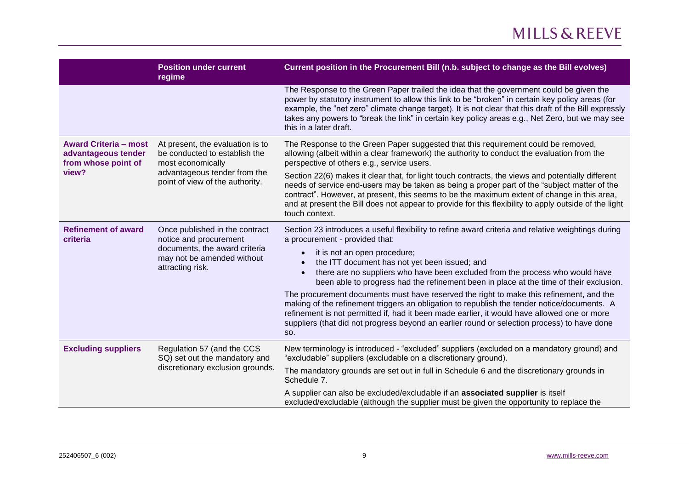|                                                                                     | <b>Position under current</b><br>regime                                                                                                                   | Current position in the Procurement Bill (n.b. subject to change as the Bill evolves)                                                                                                                                                                                                                                                                                                                                                                                                                                                                                                                                                                                                                                                                                                           |
|-------------------------------------------------------------------------------------|-----------------------------------------------------------------------------------------------------------------------------------------------------------|-------------------------------------------------------------------------------------------------------------------------------------------------------------------------------------------------------------------------------------------------------------------------------------------------------------------------------------------------------------------------------------------------------------------------------------------------------------------------------------------------------------------------------------------------------------------------------------------------------------------------------------------------------------------------------------------------------------------------------------------------------------------------------------------------|
|                                                                                     |                                                                                                                                                           | The Response to the Green Paper trailed the idea that the government could be given the<br>power by statutory instrument to allow this link to be "broken" in certain key policy areas (for<br>example, the "net zero" climate change target). It is not clear that this draft of the Bill expressly<br>takes any powers to "break the link" in certain key policy areas e.g., Net Zero, but we may see<br>this in a later draft.                                                                                                                                                                                                                                                                                                                                                               |
| <b>Award Criteria - most</b><br>advantageous tender<br>from whose point of<br>view? | At present, the evaluation is to<br>be conducted to establish the<br>most economically<br>advantageous tender from the<br>point of view of the authority. | The Response to the Green Paper suggested that this requirement could be removed,<br>allowing (albeit within a clear framework) the authority to conduct the evaluation from the<br>perspective of others e.g., service users.<br>Section 22(6) makes it clear that, for light touch contracts, the views and potentially different<br>needs of service end-users may be taken as being a proper part of the "subject matter of the<br>contract". However, at present, this seems to be the maximum extent of change in this area,<br>and at present the Bill does not appear to provide for this flexibility to apply outside of the light<br>touch context.                                                                                                                                   |
| <b>Refinement of award</b><br>criteria                                              | Once published in the contract<br>notice and procurement<br>documents, the award criteria<br>may not be amended without<br>attracting risk.               | Section 23 introduces a useful flexibility to refine award criteria and relative weightings during<br>a procurement - provided that:<br>it is not an open procedure;<br>the ITT document has not yet been issued; and<br>there are no suppliers who have been excluded from the process who would have<br>been able to progress had the refinement been in place at the time of their exclusion.<br>The procurement documents must have reserved the right to make this refinement, and the<br>making of the refinement triggers an obligation to republish the tender notice/documents. A<br>refinement is not permitted if, had it been made earlier, it would have allowed one or more<br>suppliers (that did not progress beyond an earlier round or selection process) to have done<br>SO. |
| <b>Excluding suppliers</b>                                                          | Regulation 57 (and the CCS<br>SQ) set out the mandatory and<br>discretionary exclusion grounds.                                                           | New terminology is introduced - "excluded" suppliers (excluded on a mandatory ground) and<br>"excludable" suppliers (excludable on a discretionary ground).<br>The mandatory grounds are set out in full in Schedule 6 and the discretionary grounds in<br>Schedule 7.<br>A supplier can also be excluded/excludable if an associated supplier is itself<br>excluded/excludable (although the supplier must be given the opportunity to replace the                                                                                                                                                                                                                                                                                                                                             |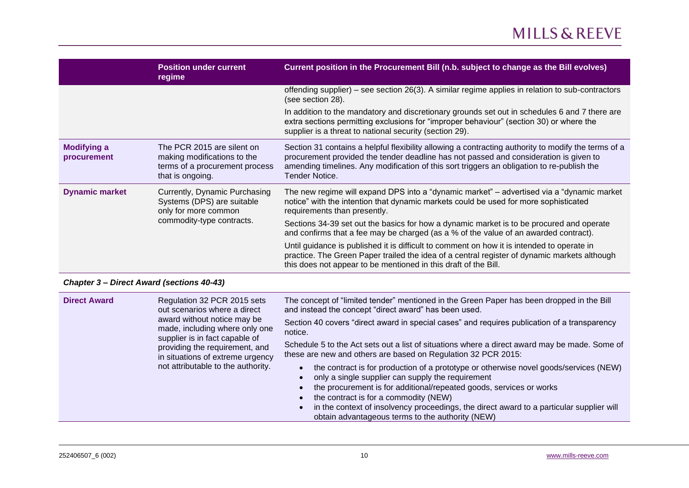|                                   | <b>Position under current</b><br>regime                                                                          | Current position in the Procurement Bill (n.b. subject to change as the Bill evolves)                                                                                                                                                                                                                        |
|-----------------------------------|------------------------------------------------------------------------------------------------------------------|--------------------------------------------------------------------------------------------------------------------------------------------------------------------------------------------------------------------------------------------------------------------------------------------------------------|
|                                   |                                                                                                                  | offending supplier) – see section 26(3). A similar regime applies in relation to sub-contractors<br>(see section 28).                                                                                                                                                                                        |
|                                   |                                                                                                                  | In addition to the mandatory and discretionary grounds set out in schedules 6 and 7 there are<br>extra sections permitting exclusions for "improper behaviour" (section 30) or where the<br>supplier is a threat to national security (section 29).                                                          |
| <b>Modifying a</b><br>procurement | The PCR 2015 are silent on<br>making modifications to the<br>terms of a procurement process<br>that is ongoing.  | Section 31 contains a helpful flexibility allowing a contracting authority to modify the terms of a<br>procurement provided the tender deadline has not passed and consideration is given to<br>amending timelines. Any modification of this sort triggers an obligation to re-publish the<br>Tender Notice. |
| <b>Dynamic market</b>             | Currently, Dynamic Purchasing<br>Systems (DPS) are suitable<br>only for more common<br>commodity-type contracts. | The new regime will expand DPS into a "dynamic market" – advertised via a "dynamic market"<br>notice" with the intention that dynamic markets could be used for more sophisticated<br>requirements than presently.                                                                                           |
|                                   |                                                                                                                  | Sections 34-39 set out the basics for how a dynamic market is to be procured and operate<br>and confirms that a fee may be charged (as a % of the value of an awarded contract).                                                                                                                             |
|                                   |                                                                                                                  | Until guidance is published it is difficult to comment on how it is intended to operate in<br>practice. The Green Paper trailed the idea of a central register of dynamic markets although<br>this does not appear to be mentioned in this draft of the Bill.                                                |

#### <span id="page-9-0"></span>*Chapter 3 – Direct Award (sections 40-43)*

| <b>Direct Award</b><br>Regulation 32 PCR 2015 sets<br>out scenarios where a direct<br>award without notice may be<br>made, including where only one<br>supplier is in fact capable of<br>providing the requirement, and<br>in situations of extreme urgency<br>not attributable to the authority. | The concept of "limited tender" mentioned in the Green Paper has been dropped in the Bill<br>and instead the concept "direct award" has been used.                                                                                                                                                                                                                                                                                   |
|---------------------------------------------------------------------------------------------------------------------------------------------------------------------------------------------------------------------------------------------------------------------------------------------------|--------------------------------------------------------------------------------------------------------------------------------------------------------------------------------------------------------------------------------------------------------------------------------------------------------------------------------------------------------------------------------------------------------------------------------------|
|                                                                                                                                                                                                                                                                                                   | Section 40 covers "direct award in special cases" and requires publication of a transparency<br>notice.                                                                                                                                                                                                                                                                                                                              |
|                                                                                                                                                                                                                                                                                                   | Schedule 5 to the Act sets out a list of situations where a direct award may be made. Some of<br>these are new and others are based on Regulation 32 PCR 2015:                                                                                                                                                                                                                                                                       |
|                                                                                                                                                                                                                                                                                                   | the contract is for production of a prototype or otherwise novel goods/services (NEW)<br>$\bullet$<br>only a single supplier can supply the requirement<br>the procurement is for additional/repeated goods, services or works<br>the contract is for a commodity (NEW)<br>in the context of insolvency proceedings, the direct award to a particular supplier will<br>$\bullet$<br>obtain advantageous terms to the authority (NEW) |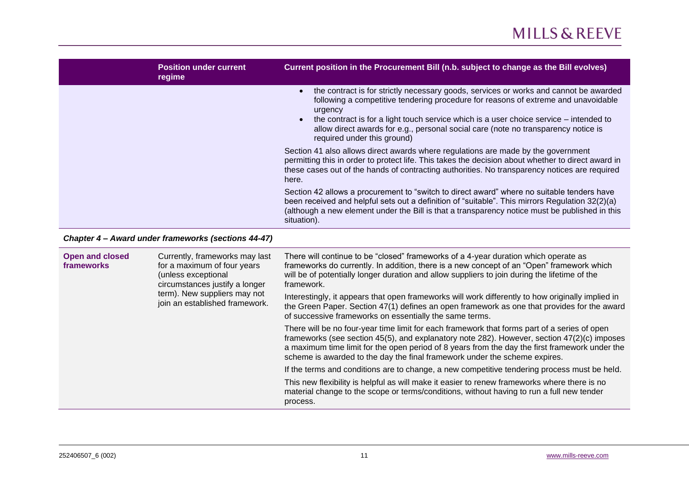| <b>Position under current</b><br>regime | Current position in the Procurement Bill (n.b. subject to change as the Bill evolves)                                                                                                                                                                                                                                                                                                                 |
|-----------------------------------------|-------------------------------------------------------------------------------------------------------------------------------------------------------------------------------------------------------------------------------------------------------------------------------------------------------------------------------------------------------------------------------------------------------|
|                                         | the contract is for strictly necessary goods, services or works and cannot be awarded<br>following a competitive tendering procedure for reasons of extreme and unavoidable<br>urgency<br>the contract is for a light touch service which is a user choice service – intended to<br>allow direct awards for e.g., personal social care (note no transparency notice is<br>required under this ground) |
|                                         | Section 41 also allows direct awards where regulations are made by the government<br>permitting this in order to protect life. This takes the decision about whether to direct award in<br>these cases out of the hands of contracting authorities. No transparency notices are required<br>here.                                                                                                     |
|                                         | Section 42 allows a procurement to "switch to direct award" where no suitable tenders have<br>been received and helpful sets out a definition of "suitable". This mirrors Regulation 32(2)(a)<br>(although a new element under the Bill is that a transparency notice must be published in this<br>situation).                                                                                        |

#### <span id="page-10-0"></span>*Chapter 4 – Award under frameworks (sections 44-47)*

| <b>Open and closed</b><br>Currently, frameworks may last<br>for a maximum of four years<br>frameworks<br>(unless exceptional<br>circumstances justify a longer<br>term). New suppliers may not<br>join an established framework. | There will continue to be "closed" frameworks of a 4-year duration which operate as<br>frameworks do currently. In addition, there is a new concept of an "Open" framework which<br>will be of potentially longer duration and allow suppliers to join during the lifetime of the<br>framework.<br>Interestingly, it appears that open frameworks will work differently to how originally implied in<br>the Green Paper. Section 47(1) defines an open framework as one that provides for the award<br>of successive frameworks on essentially the same terms. |
|----------------------------------------------------------------------------------------------------------------------------------------------------------------------------------------------------------------------------------|----------------------------------------------------------------------------------------------------------------------------------------------------------------------------------------------------------------------------------------------------------------------------------------------------------------------------------------------------------------------------------------------------------------------------------------------------------------------------------------------------------------------------------------------------------------|
|                                                                                                                                                                                                                                  | There will be no four-year time limit for each framework that forms part of a series of open<br>frameworks (see section 45(5), and explanatory note 282). However, section 47(2)(c) imposes<br>a maximum time limit for the open period of 8 years from the day the first framework under the<br>scheme is awarded to the day the final framework under the scheme expires.                                                                                                                                                                                    |
|                                                                                                                                                                                                                                  | If the terms and conditions are to change, a new competitive tendering process must be held.                                                                                                                                                                                                                                                                                                                                                                                                                                                                   |
|                                                                                                                                                                                                                                  |                                                                                                                                                                                                                                                                                                                                                                                                                                                                                                                                                                |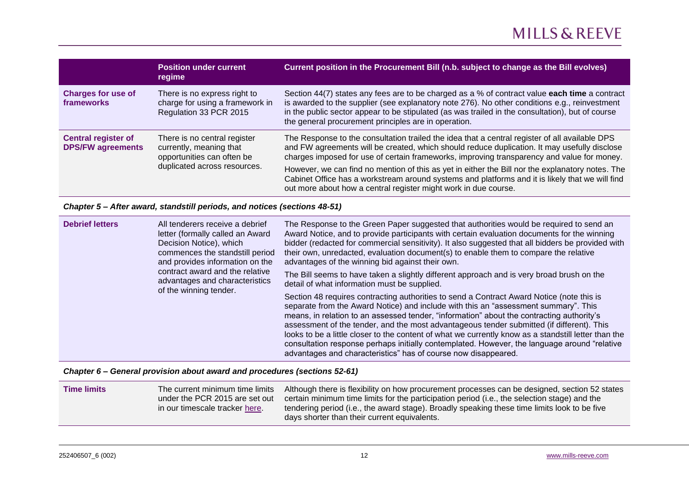|                                                        | <b>Position under current</b><br>regime                                                                               | Current position in the Procurement Bill (n.b. subject to change as the Bill evolves)                                                                                                                                                                                                                                                                                                                                                                                                                                                                                  |
|--------------------------------------------------------|-----------------------------------------------------------------------------------------------------------------------|------------------------------------------------------------------------------------------------------------------------------------------------------------------------------------------------------------------------------------------------------------------------------------------------------------------------------------------------------------------------------------------------------------------------------------------------------------------------------------------------------------------------------------------------------------------------|
| <b>Charges for use of</b><br>frameworks                | There is no express right to<br>charge for using a framework in<br>Regulation 33 PCR 2015                             | Section 44(7) states any fees are to be charged as a % of contract value each time a contract<br>is awarded to the supplier (see explanatory note 276). No other conditions e.g., reinvestment<br>in the public sector appear to be stipulated (as was trailed in the consultation), but of course<br>the general procurement principles are in operation.                                                                                                                                                                                                             |
| <b>Central register of</b><br><b>DPS/FW agreements</b> | There is no central register<br>currently, meaning that<br>opportunities can often be<br>duplicated across resources. | The Response to the consultation trailed the idea that a central register of all available DPS<br>and FW agreements will be created, which should reduce duplication. It may usefully disclose<br>charges imposed for use of certain frameworks, improving transparency and value for money.<br>However, we can find no mention of this as yet in either the Bill nor the explanatory notes. The<br>Cabinet Office has a workstream around systems and platforms and it is likely that we will find<br>out more about how a central register might work in due course. |

#### <span id="page-11-0"></span>*Chapter 5 – After award, standstill periods, and notices (sections 48-51)*

| <b>Debrief letters</b><br>All tenderers receive a debrief<br>letter (formally called an Award<br>Decision Notice), which<br>commences the standstill period<br>and provides information on the<br>contract award and the relative<br>advantages and characteristics<br>of the winning tender. | The Response to the Green Paper suggested that authorities would be required to send an<br>Award Notice, and to provide participants with certain evaluation documents for the winning<br>bidder (redacted for commercial sensitivity). It also suggested that all bidders be provided with<br>their own, unredacted, evaluation document(s) to enable them to compare the relative<br>advantages of the winning bid against their own. |                                                                                                                                                                                                                                                                                                                                                                                                                                                                                                                                                                                                                                                      |
|-----------------------------------------------------------------------------------------------------------------------------------------------------------------------------------------------------------------------------------------------------------------------------------------------|-----------------------------------------------------------------------------------------------------------------------------------------------------------------------------------------------------------------------------------------------------------------------------------------------------------------------------------------------------------------------------------------------------------------------------------------|------------------------------------------------------------------------------------------------------------------------------------------------------------------------------------------------------------------------------------------------------------------------------------------------------------------------------------------------------------------------------------------------------------------------------------------------------------------------------------------------------------------------------------------------------------------------------------------------------------------------------------------------------|
|                                                                                                                                                                                                                                                                                               |                                                                                                                                                                                                                                                                                                                                                                                                                                         | The Bill seems to have taken a slightly different approach and is very broad brush on the<br>detail of what information must be supplied.                                                                                                                                                                                                                                                                                                                                                                                                                                                                                                            |
|                                                                                                                                                                                                                                                                                               |                                                                                                                                                                                                                                                                                                                                                                                                                                         | Section 48 requires contracting authorities to send a Contract Award Notice (note this is<br>separate from the Award Notice) and include with this an "assessment summary". This<br>means, in relation to an assessed tender, "information" about the contracting authority's<br>assessment of the tender, and the most advantageous tender submitted (if different). This<br>looks to be a little closer to the content of what we currently know as a standstill letter than the<br>consultation response perhaps initially contemplated. However, the language around "relative<br>advantages and characteristics" has of course now disappeared. |

#### <span id="page-11-1"></span>*Chapter 6 – General provision about award and procedures (sections 52-61)*

| The current minimum time limits | Although there is flexibility on how procurement processes can be designed, section 52 states |
|---------------------------------|-----------------------------------------------------------------------------------------------|
| <b>Time limits</b>              | certain minimum time limits for the participation period (i.e., the selection stage) and the  |
| under the PCR 2015 are set out  | tendering period (i.e., the award stage). Broadly speaking these time limits look to be five  |
| in our timescale tracker here.  | days shorter than their current equivalents.                                                  |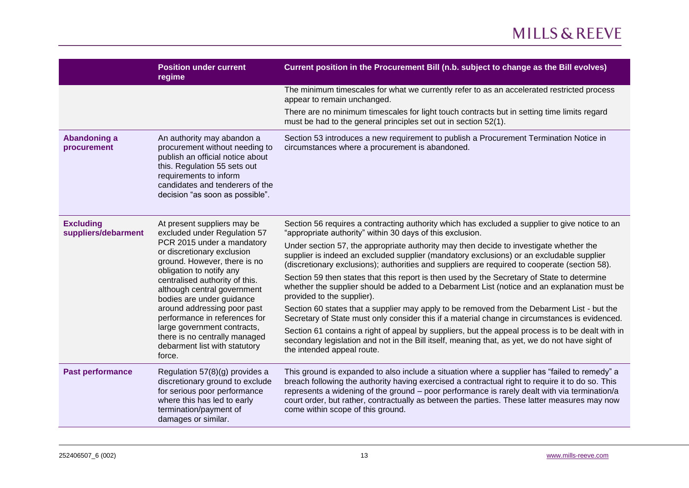|                                         | <b>Position under current</b><br>regime                                                                                                                                                                                                                                                                                                           | Current position in the Procurement Bill (n.b. subject to change as the Bill evolves)                                                                                                                                                                                                                                                                                                                                                   |
|-----------------------------------------|---------------------------------------------------------------------------------------------------------------------------------------------------------------------------------------------------------------------------------------------------------------------------------------------------------------------------------------------------|-----------------------------------------------------------------------------------------------------------------------------------------------------------------------------------------------------------------------------------------------------------------------------------------------------------------------------------------------------------------------------------------------------------------------------------------|
|                                         |                                                                                                                                                                                                                                                                                                                                                   | The minimum timescales for what we currently refer to as an accelerated restricted process<br>appear to remain unchanged.                                                                                                                                                                                                                                                                                                               |
|                                         |                                                                                                                                                                                                                                                                                                                                                   | There are no minimum timescales for light touch contracts but in setting time limits regard<br>must be had to the general principles set out in section 52(1).                                                                                                                                                                                                                                                                          |
| <b>Abandoning a</b><br>procurement      | An authority may abandon a<br>procurement without needing to<br>publish an official notice about<br>this. Regulation 55 sets out<br>requirements to inform<br>candidates and tenderers of the<br>decision "as soon as possible".                                                                                                                  | Section 53 introduces a new requirement to publish a Procurement Termination Notice in<br>circumstances where a procurement is abandoned.                                                                                                                                                                                                                                                                                               |
| <b>Excluding</b><br>suppliers/debarment | At present suppliers may be<br>excluded under Regulation 57<br>PCR 2015 under a mandatory<br>or discretionary exclusion<br>ground. However, there is no<br>obligation to notify any<br>centralised authority of this.<br>although central government<br>bodies are under guidance<br>around addressing poor past<br>performance in references for | Section 56 requires a contracting authority which has excluded a supplier to give notice to an<br>"appropriate authority" within 30 days of this exclusion.                                                                                                                                                                                                                                                                             |
|                                         |                                                                                                                                                                                                                                                                                                                                                   | Under section 57, the appropriate authority may then decide to investigate whether the<br>supplier is indeed an excluded supplier (mandatory exclusions) or an excludable supplier<br>(discretionary exclusions); authorities and suppliers are required to cooperate (section 58).                                                                                                                                                     |
|                                         |                                                                                                                                                                                                                                                                                                                                                   | Section 59 then states that this report is then used by the Secretary of State to determine<br>whether the supplier should be added to a Debarment List (notice and an explanation must be<br>provided to the supplier).                                                                                                                                                                                                                |
|                                         |                                                                                                                                                                                                                                                                                                                                                   | Section 60 states that a supplier may apply to be removed from the Debarment List - but the<br>Secretary of State must only consider this if a material change in circumstances is evidenced.                                                                                                                                                                                                                                           |
|                                         | large government contracts,<br>there is no centrally managed<br>debarment list with statutory<br>force.                                                                                                                                                                                                                                           | Section 61 contains a right of appeal by suppliers, but the appeal process is to be dealt with in<br>secondary legislation and not in the Bill itself, meaning that, as yet, we do not have sight of<br>the intended appeal route.                                                                                                                                                                                                      |
| Past performance                        | Regulation 57(8)(g) provides a<br>discretionary ground to exclude<br>for serious poor performance<br>where this has led to early<br>termination/payment of<br>damages or similar.                                                                                                                                                                 | This ground is expanded to also include a situation where a supplier has "failed to remedy" a<br>breach following the authority having exercised a contractual right to require it to do so. This<br>represents a widening of the ground - poor performance is rarely dealt with via termination/a<br>court order, but rather, contractually as between the parties. These latter measures may now<br>come within scope of this ground. |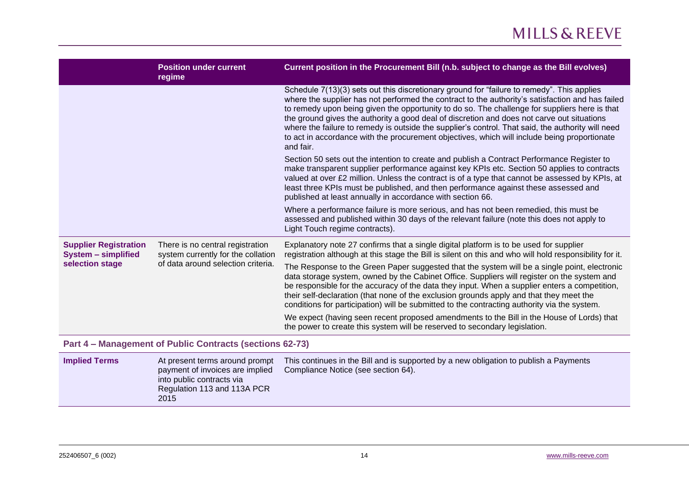|                                                            | <b>Position under current</b><br>regime                                                                      | Current position in the Procurement Bill (n.b. subject to change as the Bill evolves)                                                                                                                                                                                                                                                                                                                                                                                                                                                                                                                           |
|------------------------------------------------------------|--------------------------------------------------------------------------------------------------------------|-----------------------------------------------------------------------------------------------------------------------------------------------------------------------------------------------------------------------------------------------------------------------------------------------------------------------------------------------------------------------------------------------------------------------------------------------------------------------------------------------------------------------------------------------------------------------------------------------------------------|
|                                                            |                                                                                                              | Schedule 7(13)(3) sets out this discretionary ground for "failure to remedy". This applies<br>where the supplier has not performed the contract to the authority's satisfaction and has failed<br>to remedy upon being given the opportunity to do so. The challenge for suppliers here is that<br>the ground gives the authority a good deal of discretion and does not carve out situations<br>where the failure to remedy is outside the supplier's control. That said, the authority will need<br>to act in accordance with the procurement objectives, which will include being proportionate<br>and fair. |
|                                                            |                                                                                                              | Section 50 sets out the intention to create and publish a Contract Performance Register to<br>make transparent supplier performance against key KPIs etc. Section 50 applies to contracts<br>valued at over £2 million. Unless the contract is of a type that cannot be assessed by KPIs, at<br>least three KPIs must be published, and then performance against these assessed and<br>published at least annually in accordance with section 66.                                                                                                                                                               |
|                                                            |                                                                                                              | Where a performance failure is more serious, and has not been remedied, this must be<br>assessed and published within 30 days of the relevant failure (note this does not apply to<br>Light Touch regime contracts).                                                                                                                                                                                                                                                                                                                                                                                            |
| <b>Supplier Registration</b><br><b>System - simplified</b> | There is no central registration<br>system currently for the collation<br>of data around selection criteria. | Explanatory note 27 confirms that a single digital platform is to be used for supplier<br>registration although at this stage the Bill is silent on this and who will hold responsibility for it.                                                                                                                                                                                                                                                                                                                                                                                                               |
| selection stage                                            |                                                                                                              | The Response to the Green Paper suggested that the system will be a single point, electronic<br>data storage system, owned by the Cabinet Office. Suppliers will register on the system and<br>be responsible for the accuracy of the data they input. When a supplier enters a competition,<br>their self-declaration (that none of the exclusion grounds apply and that they meet the<br>conditions for participation) will be submitted to the contracting authority via the system.                                                                                                                         |
|                                                            |                                                                                                              | We expect (having seen recent proposed amendments to the Bill in the House of Lords) that<br>the power to create this system will be reserved to secondary legislation.                                                                                                                                                                                                                                                                                                                                                                                                                                         |
| Part 4 - Management of Public Contracts (sections 62-73)   |                                                                                                              |                                                                                                                                                                                                                                                                                                                                                                                                                                                                                                                                                                                                                 |

<span id="page-13-0"></span>

| <b>Implied Terms</b> | At present terms around prompt<br>payment of invoices are implied<br>into public contracts via<br>Regulation 113 and 113A PCR<br>2015 | This continues in the Bill and is supported by a new obligation to publish a Payments<br>Compliance Notice (see section 64). |
|----------------------|---------------------------------------------------------------------------------------------------------------------------------------|------------------------------------------------------------------------------------------------------------------------------|
|----------------------|---------------------------------------------------------------------------------------------------------------------------------------|------------------------------------------------------------------------------------------------------------------------------|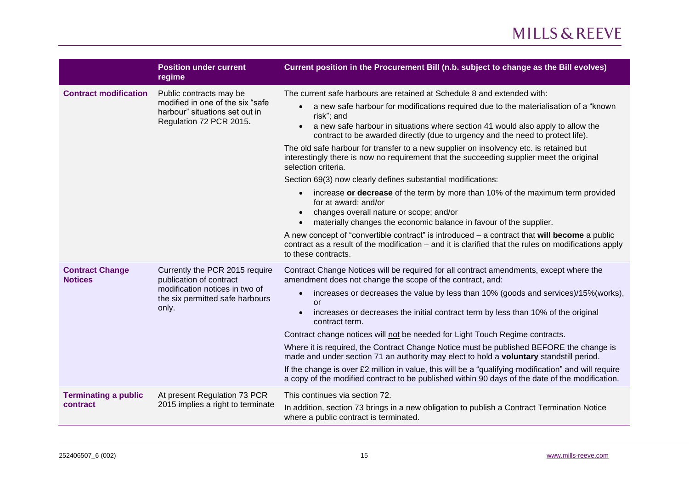|                                          | <b>Position under current</b><br>regime                                                                                                 | Current position in the Procurement Bill (n.b. subject to change as the Bill evolves)                                                                                                                                                                                                 |
|------------------------------------------|-----------------------------------------------------------------------------------------------------------------------------------------|---------------------------------------------------------------------------------------------------------------------------------------------------------------------------------------------------------------------------------------------------------------------------------------|
| <b>Contract modification</b>             | Public contracts may be                                                                                                                 | The current safe harbours are retained at Schedule 8 and extended with:                                                                                                                                                                                                               |
|                                          | modified in one of the six "safe<br>harbour" situations set out in<br>Regulation 72 PCR 2015.                                           | a new safe harbour for modifications required due to the materialisation of a "known"<br>risk"; and<br>a new safe harbour in situations where section 41 would also apply to allow the<br>$\bullet$<br>contract to be awarded directly (due to urgency and the need to protect life). |
|                                          |                                                                                                                                         | The old safe harbour for transfer to a new supplier on insolvency etc. is retained but<br>interestingly there is now no requirement that the succeeding supplier meet the original<br>selection criteria.                                                                             |
|                                          |                                                                                                                                         | Section 69(3) now clearly defines substantial modifications:                                                                                                                                                                                                                          |
|                                          |                                                                                                                                         | increase or decrease of the term by more than 10% of the maximum term provided<br>$\bullet$<br>for at award; and/or                                                                                                                                                                   |
|                                          |                                                                                                                                         | changes overall nature or scope; and/or<br>$\bullet$<br>materially changes the economic balance in favour of the supplier.<br>$\bullet$                                                                                                                                               |
|                                          |                                                                                                                                         | A new concept of "convertible contract" is introduced $-$ a contract that will become a public<br>contract as a result of the modification – and it is clarified that the rules on modifications apply<br>to these contracts.                                                         |
| <b>Contract Change</b><br><b>Notices</b> | Currently the PCR 2015 require<br>publication of contract<br>modification notices in two of<br>the six permitted safe harbours<br>only. | Contract Change Notices will be required for all contract amendments, except where the<br>amendment does not change the scope of the contract, and:                                                                                                                                   |
|                                          |                                                                                                                                         | increases or decreases the value by less than 10% (goods and services)/15%(works),<br>$\bullet$<br>or                                                                                                                                                                                 |
|                                          |                                                                                                                                         | increases or decreases the initial contract term by less than 10% of the original<br>$\bullet$<br>contract term.                                                                                                                                                                      |
|                                          |                                                                                                                                         | Contract change notices will not be needed for Light Touch Regime contracts.                                                                                                                                                                                                          |
|                                          |                                                                                                                                         | Where it is required, the Contract Change Notice must be published BEFORE the change is<br>made and under section 71 an authority may elect to hold a voluntary standstill period.                                                                                                    |
|                                          |                                                                                                                                         | If the change is over $£2$ million in value, this will be a "qualifying modification" and will require<br>a copy of the modified contract to be published within 90 days of the date of the modification.                                                                             |
| <b>Terminating a public</b>              | At present Regulation 73 PCR<br>2015 implies a right to terminate                                                                       | This continues via section 72.                                                                                                                                                                                                                                                        |
| contract                                 |                                                                                                                                         | In addition, section 73 brings in a new obligation to publish a Contract Termination Notice<br>where a public contract is terminated.                                                                                                                                                 |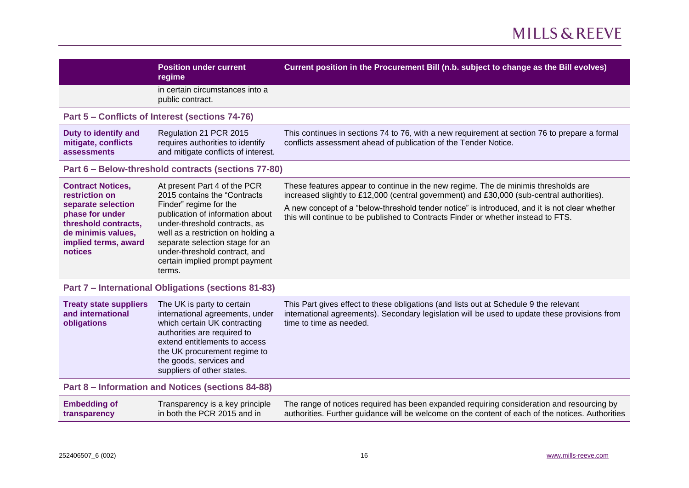<span id="page-15-3"></span><span id="page-15-2"></span><span id="page-15-1"></span><span id="page-15-0"></span>

|                                                                                                                                                                      | <b>Position under current</b><br>regime                                                                                                                                                                                                                                                                           | Current position in the Procurement Bill (n.b. subject to change as the Bill evolves)                                                                                                                                                                                                                                                                                 |
|----------------------------------------------------------------------------------------------------------------------------------------------------------------------|-------------------------------------------------------------------------------------------------------------------------------------------------------------------------------------------------------------------------------------------------------------------------------------------------------------------|-----------------------------------------------------------------------------------------------------------------------------------------------------------------------------------------------------------------------------------------------------------------------------------------------------------------------------------------------------------------------|
|                                                                                                                                                                      | in certain circumstances into a<br>public contract.                                                                                                                                                                                                                                                               |                                                                                                                                                                                                                                                                                                                                                                       |
|                                                                                                                                                                      | Part 5 - Conflicts of Interest (sections 74-76)                                                                                                                                                                                                                                                                   |                                                                                                                                                                                                                                                                                                                                                                       |
| Duty to identify and<br>mitigate, conflicts<br>assessments                                                                                                           | Regulation 21 PCR 2015<br>requires authorities to identify<br>and mitigate conflicts of interest.                                                                                                                                                                                                                 | This continues in sections 74 to 76, with a new requirement at section 76 to prepare a formal<br>conflicts assessment ahead of publication of the Tender Notice.                                                                                                                                                                                                      |
|                                                                                                                                                                      | Part 6 - Below-threshold contracts (sections 77-80)                                                                                                                                                                                                                                                               |                                                                                                                                                                                                                                                                                                                                                                       |
| <b>Contract Notices,</b><br>restriction on<br>separate selection<br>phase for under<br>threshold contracts,<br>de minimis values,<br>implied terms, award<br>notices | At present Part 4 of the PCR<br>2015 contains the "Contracts<br>Finder" regime for the<br>publication of information about<br>under-threshold contracts, as<br>well as a restriction on holding a<br>separate selection stage for an<br>under-threshold contract, and<br>certain implied prompt payment<br>terms. | These features appear to continue in the new regime. The de minimis thresholds are<br>increased slightly to £12,000 (central government) and £30,000 (sub-central authorities).<br>A new concept of a "below-threshold tender notice" is introduced, and it is not clear whether<br>this will continue to be published to Contracts Finder or whether instead to FTS. |
|                                                                                                                                                                      | Part 7 - International Obligations (sections 81-83)                                                                                                                                                                                                                                                               |                                                                                                                                                                                                                                                                                                                                                                       |
| <b>Treaty state suppliers</b><br>and international<br>obligations                                                                                                    | The UK is party to certain<br>international agreements, under<br>which certain UK contracting<br>authorities are required to<br>extend entitlements to access<br>the UK procurement regime to<br>the goods, services and<br>suppliers of other states.                                                            | This Part gives effect to these obligations (and lists out at Schedule 9 the relevant<br>international agreements). Secondary legislation will be used to update these provisions from<br>time to time as needed.                                                                                                                                                     |
| Part 8 – Information and Notices (sections 84-88)                                                                                                                    |                                                                                                                                                                                                                                                                                                                   |                                                                                                                                                                                                                                                                                                                                                                       |
| <b>Embedding of</b><br>transparency                                                                                                                                  | Transparency is a key principle<br>in both the PCR 2015 and in                                                                                                                                                                                                                                                    | The range of notices required has been expanded requiring consideration and resourcing by<br>authorities. Further guidance will be welcome on the content of each of the notices. Authorities                                                                                                                                                                         |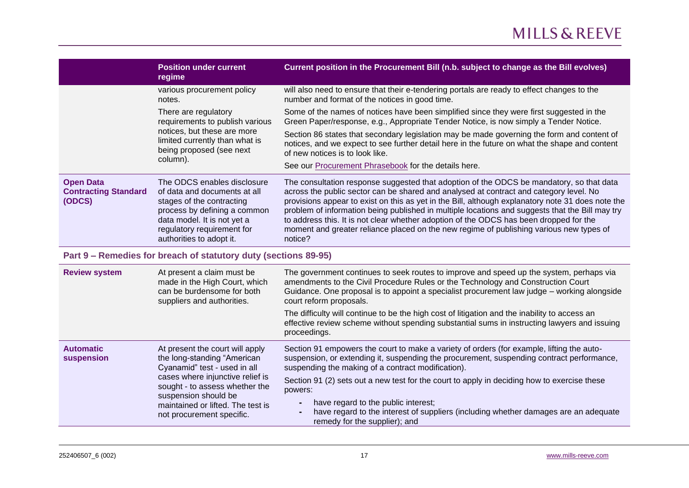|                                                           | <b>Position under current</b><br>regime                                                                                                                                                                           | Current position in the Procurement Bill (n.b. subject to change as the Bill evolves)                                                                                                                                                                                                                                                                                                                                                                                                                                                                                                      |
|-----------------------------------------------------------|-------------------------------------------------------------------------------------------------------------------------------------------------------------------------------------------------------------------|--------------------------------------------------------------------------------------------------------------------------------------------------------------------------------------------------------------------------------------------------------------------------------------------------------------------------------------------------------------------------------------------------------------------------------------------------------------------------------------------------------------------------------------------------------------------------------------------|
|                                                           | various procurement policy<br>notes.                                                                                                                                                                              | will also need to ensure that their e-tendering portals are ready to effect changes to the<br>number and format of the notices in good time.                                                                                                                                                                                                                                                                                                                                                                                                                                               |
|                                                           | There are regulatory<br>requirements to publish various<br>notices, but these are more<br>limited currently than what is<br>being proposed (see next<br>column).                                                  | Some of the names of notices have been simplified since they were first suggested in the<br>Green Paper/response, e.g., Appropriate Tender Notice, is now simply a Tender Notice.                                                                                                                                                                                                                                                                                                                                                                                                          |
|                                                           |                                                                                                                                                                                                                   | Section 86 states that secondary legislation may be made governing the form and content of<br>notices, and we expect to see further detail here in the future on what the shape and content<br>of new notices is to look like.                                                                                                                                                                                                                                                                                                                                                             |
|                                                           |                                                                                                                                                                                                                   | See our Procurement Phrasebook for the details here.                                                                                                                                                                                                                                                                                                                                                                                                                                                                                                                                       |
| <b>Open Data</b><br><b>Contracting Standard</b><br>(ODCS) | The ODCS enables disclosure<br>of data and documents at all<br>stages of the contracting<br>process by defining a common<br>data model. It is not yet a<br>regulatory requirement for<br>authorities to adopt it. | The consultation response suggested that adoption of the ODCS be mandatory, so that data<br>across the public sector can be shared and analysed at contract and category level. No<br>provisions appear to exist on this as yet in the Bill, although explanatory note 31 does note the<br>problem of information being published in multiple locations and suggests that the Bill may try<br>to address this. It is not clear whether adoption of the ODCS has been dropped for the<br>moment and greater reliance placed on the new regime of publishing various new types of<br>notice? |

#### <span id="page-16-0"></span>**Part 9 – Remedies for breach of statutory duty (sections 89-95)**

| <b>Review system</b>           | At present a claim must be<br>made in the High Court, which<br>can be burdensome for both<br>suppliers and authorities.                                                                                                                                        | The government continues to seek routes to improve and speed up the system, perhaps via<br>amendments to the Civil Procedure Rules or the Technology and Construction Court<br>Guidance. One proposal is to appoint a specialist procurement law judge – working alongside<br>court reform proposals.<br>The difficulty will continue to be the high cost of litigation and the inability to access an<br>effective review scheme without spending substantial sums in instructing lawyers and issuing<br>proceedings.                  |
|--------------------------------|----------------------------------------------------------------------------------------------------------------------------------------------------------------------------------------------------------------------------------------------------------------|-----------------------------------------------------------------------------------------------------------------------------------------------------------------------------------------------------------------------------------------------------------------------------------------------------------------------------------------------------------------------------------------------------------------------------------------------------------------------------------------------------------------------------------------|
| <b>Automatic</b><br>suspension | At present the court will apply<br>the long-standing "American<br>Cyanamid" test - used in all<br>cases where injunctive relief is<br>sought - to assess whether the<br>suspension should be<br>maintained or lifted. The test is<br>not procurement specific. | Section 91 empowers the court to make a variety of orders (for example, lifting the auto-<br>suspension, or extending it, suspending the procurement, suspending contract performance,<br>suspending the making of a contract modification).<br>Section 91 (2) sets out a new test for the court to apply in deciding how to exercise these<br>powers:<br>have regard to the public interest;<br>$\blacksquare$<br>have regard to the interest of suppliers (including whether damages are an adequate<br>remedy for the supplier); and |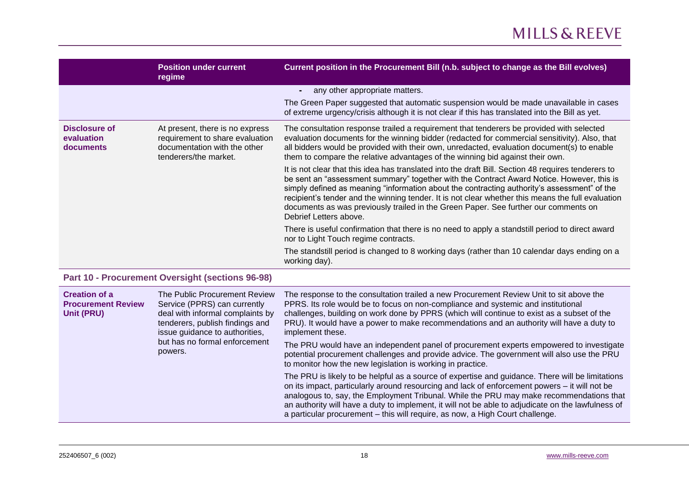|                                                 | <b>Position under current</b><br>regime                                                                                     | Current position in the Procurement Bill (n.b. subject to change as the Bill evolves)                                                                                                                                                                                                                                                                                                                                                                                                                                 |
|-------------------------------------------------|-----------------------------------------------------------------------------------------------------------------------------|-----------------------------------------------------------------------------------------------------------------------------------------------------------------------------------------------------------------------------------------------------------------------------------------------------------------------------------------------------------------------------------------------------------------------------------------------------------------------------------------------------------------------|
|                                                 |                                                                                                                             | any other appropriate matters.                                                                                                                                                                                                                                                                                                                                                                                                                                                                                        |
|                                                 |                                                                                                                             | The Green Paper suggested that automatic suspension would be made unavailable in cases<br>of extreme urgency/crisis although it is not clear if this has translated into the Bill as yet.                                                                                                                                                                                                                                                                                                                             |
| Disclosure of<br>evaluation<br><b>documents</b> | At present, there is no express<br>requirement to share evaluation<br>documentation with the other<br>tenderers/the market. | The consultation response trailed a requirement that tenderers be provided with selected<br>evaluation documents for the winning bidder (redacted for commercial sensitivity). Also, that<br>all bidders would be provided with their own, unredacted, evaluation document(s) to enable<br>them to compare the relative advantages of the winning bid against their own.                                                                                                                                              |
|                                                 |                                                                                                                             | It is not clear that this idea has translated into the draft Bill. Section 48 requires tenderers to<br>be sent an "assessment summary" together with the Contract Award Notice. However, this is<br>simply defined as meaning "information about the contracting authority's assessment" of the<br>recipient's tender and the winning tender. It is not clear whether this means the full evaluation<br>documents as was previously trailed in the Green Paper. See further our comments on<br>Debrief Letters above. |
|                                                 |                                                                                                                             | There is useful confirmation that there is no need to apply a standstill period to direct award<br>nor to Light Touch regime contracts.                                                                                                                                                                                                                                                                                                                                                                               |
|                                                 |                                                                                                                             | The standstill period is changed to 8 working days (rather than 10 calendar days ending on a<br>working day).                                                                                                                                                                                                                                                                                                                                                                                                         |

### <span id="page-17-0"></span>**Part 10 - Procurement Oversight (sections 96-98)**

| <b>Creation of a</b><br><b>Procurement Review</b><br>Unit (PRU) | The Public Procurement Review<br>Service (PPRS) can currently<br>deal with informal complaints by<br>tenderers, publish findings and<br>issue guidance to authorities,<br>but has no formal enforcement<br>powers. | The response to the consultation trailed a new Procurement Review Unit to sit above the<br>PPRS. Its role would be to focus on non-compliance and systemic and institutional<br>challenges, building on work done by PPRS (which will continue to exist as a subset of the<br>PRU). It would have a power to make recommendations and an authority will have a duty to<br>implement these.                                                                                          |
|-----------------------------------------------------------------|--------------------------------------------------------------------------------------------------------------------------------------------------------------------------------------------------------------------|-------------------------------------------------------------------------------------------------------------------------------------------------------------------------------------------------------------------------------------------------------------------------------------------------------------------------------------------------------------------------------------------------------------------------------------------------------------------------------------|
|                                                                 |                                                                                                                                                                                                                    | The PRU would have an independent panel of procurement experts empowered to investigate<br>potential procurement challenges and provide advice. The government will also use the PRU<br>to monitor how the new legislation is working in practice.                                                                                                                                                                                                                                  |
|                                                                 |                                                                                                                                                                                                                    | The PRU is likely to be helpful as a source of expertise and guidance. There will be limitations<br>on its impact, particularly around resourcing and lack of enforcement powers – it will not be<br>analogous to, say, the Employment Tribunal. While the PRU may make recommendations that<br>an authority will have a duty to implement, it will not be able to adjudicate on the lawfulness of<br>a particular procurement – this will require, as now, a High Court challenge. |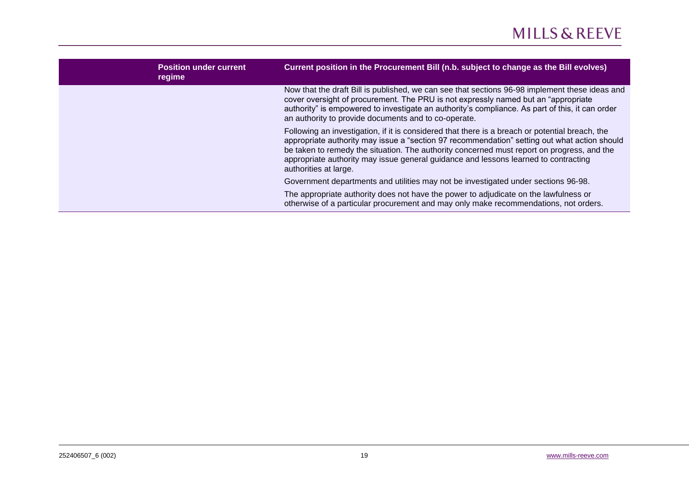| <b>Position under current</b><br>regime | Current position in the Procurement Bill (n.b. subject to change as the Bill evolves)                                                                                                                                                                                                                                                                                                                         |
|-----------------------------------------|---------------------------------------------------------------------------------------------------------------------------------------------------------------------------------------------------------------------------------------------------------------------------------------------------------------------------------------------------------------------------------------------------------------|
|                                         | Now that the draft Bill is published, we can see that sections 96-98 implement these ideas and<br>cover oversight of procurement. The PRU is not expressly named but an "appropriate"<br>authority" is empowered to investigate an authority's compliance. As part of this, it can order<br>an authority to provide documents and to co-operate.                                                              |
|                                         | Following an investigation, if it is considered that there is a breach or potential breach, the<br>appropriate authority may issue a "section 97 recommendation" setting out what action should<br>be taken to remedy the situation. The authority concerned must report on progress, and the<br>appropriate authority may issue general guidance and lessons learned to contracting<br>authorities at large. |
|                                         | Government departments and utilities may not be investigated under sections 96-98.                                                                                                                                                                                                                                                                                                                            |
|                                         | The appropriate authority does not have the power to adjudicate on the lawfulness or<br>otherwise of a particular procurement and may only make recommendations, not orders.                                                                                                                                                                                                                                  |